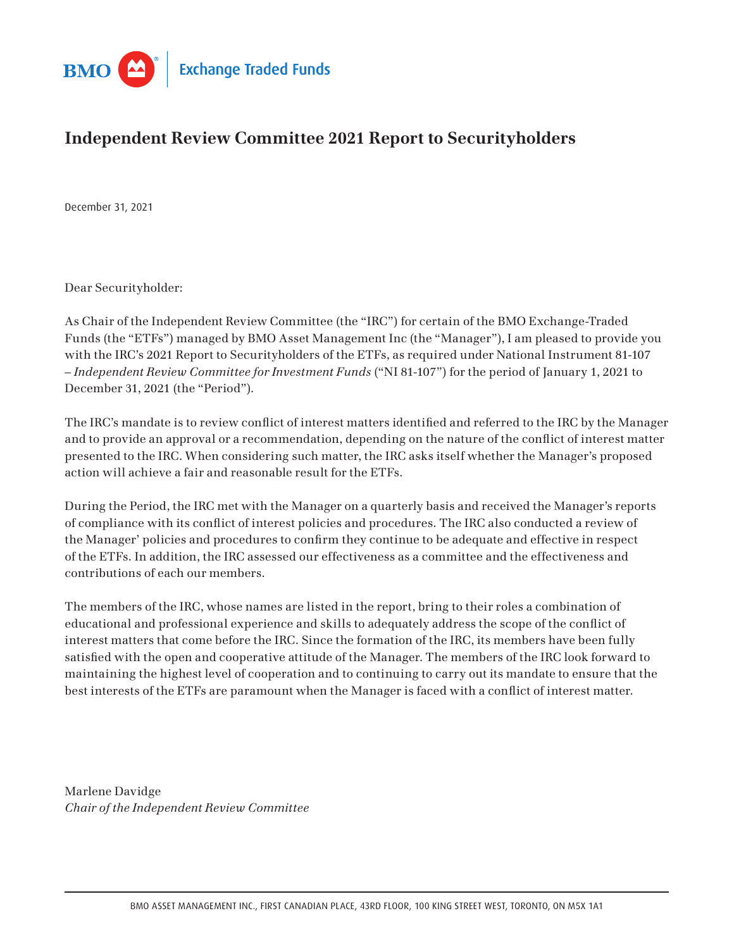

# **Independent Review Committee 2021 Report to Securityholders**

December 31, 2021

Dear Securityholder:

As Chair of the Independent Review Committee (the "IRC") for certain of the BMO Exchange-Traded Funds (the "ETFs") managed by BMO Asset Management Inc (the "Manager"), I am pleased to provide you with the IRC's 2021 Report to Securityholders of the ETFs, as required under National Instrument 81-107 – *Independent Review Committee for Investment Funds* ("NI 81-107") for the period of January 1, 2021 to December 31, 2021 (the "Period").

The IRC's mandate is to review conflict of interest matters identified and referred to the IRC by the Manager and to provide an approval or a recommendation, depending on the nature of the conflict of interest matter presented to the IRC. When considering such matter, the IRC asks itself whether the Manager's proposed action will achieve a fair and reasonable result for the ETFs.

During the Period, the IRC met with the Manager on a quarterly basis and received the Manager's reports of compliance with its conflict of interest policies and procedures. The IRC also conducted a review of the Manager' policies and procedures to confirm they continue to be adequate and effective in respect of the ETFs. In addition, the IRC assessed our effectiveness as a committee and the effectiveness and contributions of each our members.

The members of the IRC, whose names are listed in the report, bring to their roles a combination of educational and professional experience and skills to adequately address the scope of the conflict of interest matters that come before the IRC. Since the formation of the IRC, its members have been fully satisfied with the open and cooperative attitude of the Manager. The members of the IRC look forward to maintaining the highest level of cooperation and to continuing to carry out its mandate to ensure that the best interests of the ETFs are paramount when the Manager is faced with a conflict of interest matter.

Marlene Davidge *Chair of the Independent Review Committee*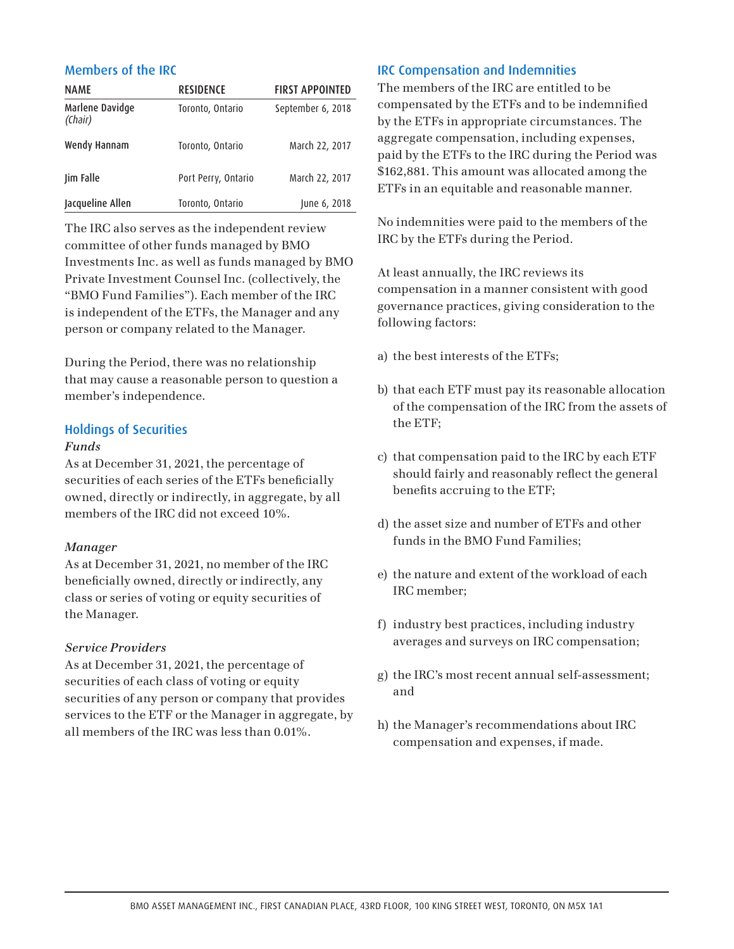## Members of the IRC

| <b>NAME</b>                | <b>RESIDENCE</b>    | <b>FIRST APPOINTED</b> |
|----------------------------|---------------------|------------------------|
| Marlene Davidge<br>(Chair) | Toronto, Ontario    | September 6, 2018      |
| Wendy Hannam               | Toronto, Ontario    | March 22, 2017         |
| Jim Falle                  | Port Perry, Ontario | March 22, 2017         |
| Jacqueline Allen           | Toronto, Ontario    | June 6, 2018           |

The IRC also serves as the independent review committee of other funds managed by BMO Investments Inc. as well as funds managed by BMO Private Investment Counsel Inc. (collectively, the "BMO Fund Families"). Each member of the IRC is independent of the ETFs, the Manager and any person or company related to the Manager.

During the Period, there was no relationship that may cause a reasonable person to question a member's independence.

#### Holdings of Securities

#### *Funds*

As at December 31, 2021, the percentage of securities of each series of the ETFs beneficially owned, directly or indirectly, in aggregate, by all members of the IRC did not exceed 10%.

#### *Manager*

As at December 31, 2021, no member of the IRC beneficially owned, directly or indirectly, any class or series of voting or equity securities of the Manager.

#### *Service Providers*

As at December 31, 2021, the percentage of securities of each class of voting or equity securities of any person or company that provides services to the ETF or the Manager in aggregate, by all members of the IRC was less than 0.01%.

## IRC Compensation and Indemnities

The members of the IRC are entitled to be compensated by the ETFs and to be indemnified by the ETFs in appropriate circumstances. The aggregate compensation, including expenses, paid by the ETFs to the IRC during the Period was \$162,881. This amount was allocated among the ETFs in an equitable and reasonable manner.

No indemnities were paid to the members of the IRC by the ETFs during the Period.

At least annually, the IRC reviews its compensation in a manner consistent with good governance practices, giving consideration to the following factors:

- a) the best interests of the ETFs;
- b) that each ETF must pay its reasonable allocation of the compensation of the IRC from the assets of the ETF;
- c) that compensation paid to the IRC by each ETF should fairly and reasonably reflect the general benefits accruing to the ETF;
- d) the asset size and number of ETFs and other funds in the BMO Fund Families;
- e) the nature and extent of the workload of each IRC member;
- f) industry best practices, including industry averages and surveys on IRC compensation;
- g) the IRC's most recent annual self-assessment; and
- h) the Manager's recommendations about IRC compensation and expenses, if made.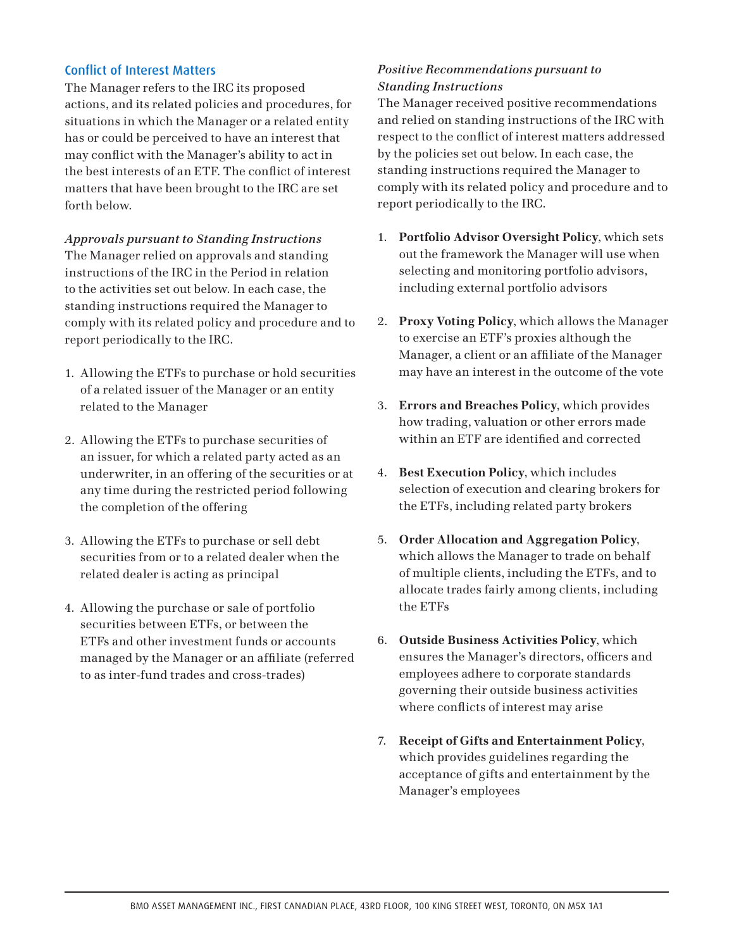#### Conflict of Interest Matters

The Manager refers to the IRC its proposed actions, and its related policies and procedures, for situations in which the Manager or a related entity has or could be perceived to have an interest that may conflict with the Manager's ability to act in the best interests of an ETF. The conflict of interest matters that have been brought to the IRC are set forth below.

*Approvals pursuant to Standing Instructions* The Manager relied on approvals and standing instructions of the IRC in the Period in relation to the activities set out below. In each case, the standing instructions required the Manager to comply with its related policy and procedure and to report periodically to the IRC.

- 1. Allowing the ETFs to purchase or hold securities of a related issuer of the Manager or an entity related to the Manager
- 2. Allowing the ETFs to purchase securities of an issuer, for which a related party acted as an underwriter, in an offering of the securities or at any time during the restricted period following the completion of the offering
- 3. Allowing the ETFs to purchase or sell debt securities from or to a related dealer when the related dealer is acting as principal
- 4. Allowing the purchase or sale of portfolio securities between ETFs, or between the ETFs and other investment funds or accounts managed by the Manager or an affiliate (referred to as inter-fund trades and cross-trades)

# *Positive Recommendations pursuant to Standing Instructions*

The Manager received positive recommendations and relied on standing instructions of the IRC with respect to the conflict of interest matters addressed by the policies set out below. In each case, the standing instructions required the Manager to comply with its related policy and procedure and to report periodically to the IRC.

- 1. **Portfolio Advisor Oversight Policy**, which sets out the framework the Manager will use when selecting and monitoring portfolio advisors, including external portfolio advisors
- 2. **Proxy Voting Policy**, which allows the Manager to exercise an ETF's proxies although the Manager, a client or an affiliate of the Manager may have an interest in the outcome of the vote
- 3. **Errors and Breaches Policy**, which provides how trading, valuation or other errors made within an ETF are identified and corrected
- 4. **Best Execution Policy**, which includes selection of execution and clearing brokers for the ETFs, including related party brokers
- 5. **Order Allocation and Aggregation Policy**, which allows the Manager to trade on behalf of multiple clients, including the ETFs, and to allocate trades fairly among clients, including the ETFs
- 6. **Outside Business Activities Policy**, which ensures the Manager's directors, officers and employees adhere to corporate standards governing their outside business activities where conflicts of interest may arise
- 7. **Receipt of Gifts and Entertainment Policy**, which provides guidelines regarding the acceptance of gifts and entertainment by the Manager's employees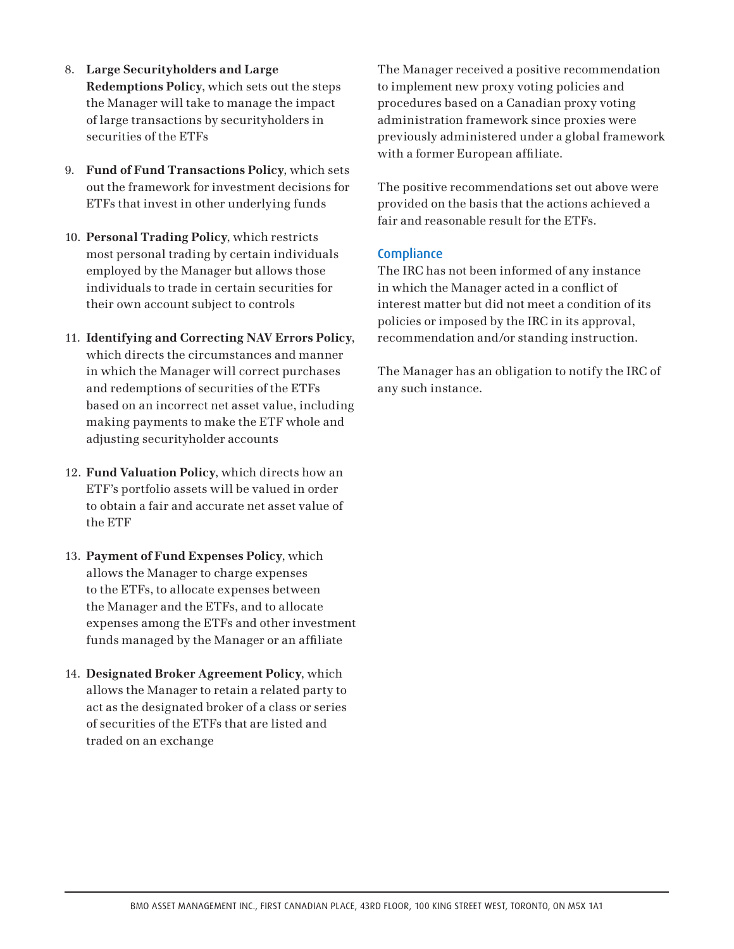- 8. **Large Securityholders and Large Redemptions Policy**, which sets out the steps the Manager will take to manage the impact of large transactions by securityholders in securities of the ETFs
- 9. **Fund of Fund Transactions Policy**, which sets out the framework for investment decisions for ETFs that invest in other underlying funds
- 10. **Personal Trading Policy**, which restricts most personal trading by certain individuals employed by the Manager but allows those individuals to trade in certain securities for their own account subject to controls
- 11. **Identifying and Correcting NAV Errors Policy**, which directs the circumstances and manner in which the Manager will correct purchases and redemptions of securities of the ETFs based on an incorrect net asset value, including making payments to make the ETF whole and adjusting securityholder accounts
- 12. **Fund Valuation Policy**, which directs how an ETF's portfolio assets will be valued in order to obtain a fair and accurate net asset value of the ETF
- 13. **Payment of Fund Expenses Policy**, which allows the Manager to charge expenses to the ETFs, to allocate expenses between the Manager and the ETFs, and to allocate expenses among the ETFs and other investment funds managed by the Manager or an affiliate
- 14. **Designated Broker Agreement Policy**, which allows the Manager to retain a related party to act as the designated broker of a class or series of securities of the ETFs that are listed and traded on an exchange

The Manager received a positive recommendation to implement new proxy voting policies and procedures based on a Canadian proxy voting administration framework since proxies were previously administered under a global framework with a former European affiliate.

The positive recommendations set out above were provided on the basis that the actions achieved a fair and reasonable result for the ETFs.

# **Compliance**

The IRC has not been informed of any instance in which the Manager acted in a conflict of interest matter but did not meet a condition of its policies or imposed by the IRC in its approval, recommendation and/or standing instruction.

The Manager has an obligation to notify the IRC of any such instance.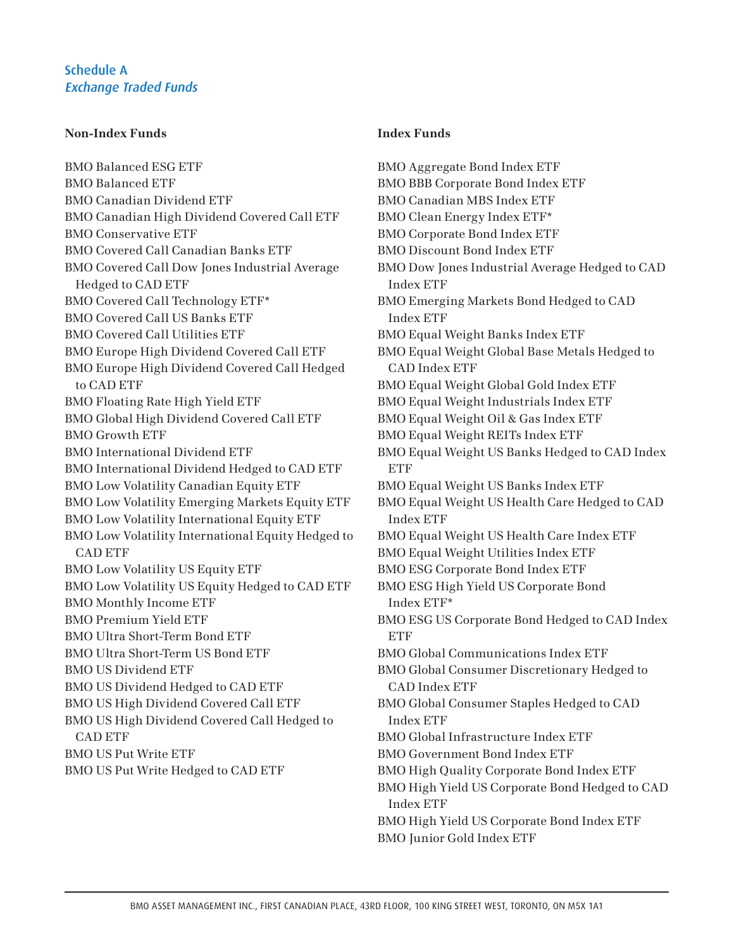#### **Non-Index Funds**

BMO Balanced ESG ETF BMO Balanced ETF BMO Canadian Dividend ETF BMO Canadian High Dividend Covered Call ETF BMO Conservative ETF BMO Covered Call Canadian Banks ETF BMO Covered Call Dow Jones Industrial Average Hedged to CAD ETF BMO Covered Call Technology ETF\* BMO Covered Call US Banks ETF BMO Covered Call Utilities ETF BMO Europe High Dividend Covered Call ETF BMO Europe High Dividend Covered Call Hedged to CAD ETF BMO Floating Rate High Yield ETF BMO Global High Dividend Covered Call ETF BMO Growth ETF BMO International Dividend ETF BMO International Dividend Hedged to CAD ETF BMO Low Volatility Canadian Equity ETF BMO Low Volatility Emerging Markets Equity ETF BMO Low Volatility International Equity ETF BMO Low Volatility International Equity Hedged to CAD ETF BMO Low Volatility US Equity ETF BMO Low Volatility US Equity Hedged to CAD ETF BMO Monthly Income ETF BMO Premium Yield ETF BMO Ultra Short-Term Bond ETF BMO Ultra Short-Term US Bond ETF BMO US Dividend ETF BMO US Dividend Hedged to CAD ETF BMO US High Dividend Covered Call ETF BMO US High Dividend Covered Call Hedged to CAD ETF BMO US Put Write ETF BMO US Put Write Hedged to CAD ETF

## **Index Funds**

BMO Aggregate Bond Index ETF BMO BBB Corporate Bond Index ETF BMO Canadian MBS Index ETF BMO Clean Energy Index ETF\* BMO Corporate Bond Index ETF BMO Discount Bond Index ETF BMO Dow Jones Industrial Average Hedged to CAD Index ETF BMO Emerging Markets Bond Hedged to CAD Index ETF BMO Equal Weight Banks Index ETF BMO Equal Weight Global Base Metals Hedged to CAD Index ETF BMO Equal Weight Global Gold Index ETF BMO Equal Weight Industrials Index ETF BMO Equal Weight Oil & Gas Index ETF BMO Equal Weight REITs Index ETF BMO Equal Weight US Banks Hedged to CAD Index **ETF** BMO Equal Weight US Banks Index ETF BMO Equal Weight US Health Care Hedged to CAD Index ETF BMO Equal Weight US Health Care Index ETF BMO Equal Weight Utilities Index ETF BMO ESG Corporate Bond Index ETF BMO ESG High Yield US Corporate Bond Index ETF\* BMO ESG US Corporate Bond Hedged to CAD Index **ETF** BMO Global Communications Index ETF BMO Global Consumer Discretionary Hedged to CAD Index ETF BMO Global Consumer Staples Hedged to CAD Index ETF BMO Global Infrastructure Index ETF BMO Government Bond Index ETF BMO High Quality Corporate Bond Index ETF BMO High Yield US Corporate Bond Hedged to CAD Index ETF BMO High Yield US Corporate Bond Index ETF BMO Junior Gold Index ETF